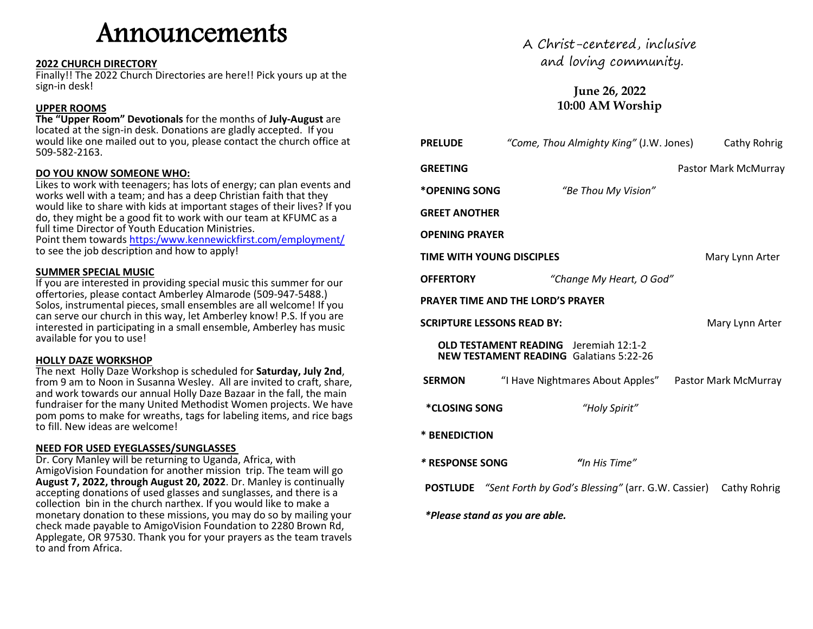# Announcements

#### **2022 CHURCH DIRECTORY**

Finally!! The 2022 Church Directories are here!! Pick yours up at the sign-in desk!

#### **UPPER ROOMS**

**The "Upper Room" Devotionals** for the months of **July-August** are located at the sign-in desk. Donations are gladly accepted. If you would like one mailed out to you, please contact the church office at 509-582-2163.

#### **DO YOU KNOW SOMEONE WHO:**

Likes to work with teenagers; has lots of energy; can plan events and works well with a team; and has a deep Christian faith that they would like to share with kids at important stages of their lives? If you do, they might be a good fit to work with our team at KFUMC as a full time Director of Youth Education Ministries.

Point them towards [https:/www.kennewickfirst.com/employment/](https://www.kennewickfirst.com/employment/) to see the job description and how to apply!

#### **SUMMER SPECIAL MUSIC**

If you are interested in providing special music this summer for our offertories, please contact Amberley Almarode (509-947-5488.) Solos, instrumental pieces, small ensembles are all welcome! If you can serve our church in this way, let Amberley know! P.S. If you are interested in participating in a small ensemble, Amberley has music available for you to use!

#### **HOLLY DAZE WORKSHOP**

The next Holly Daze Workshop is scheduled for **Saturday, July 2nd**, from 9 am to Noon in Susanna Wesley. All are invited to craft, share, and work towards our annual Holly Daze Bazaar in the fall, the main fundraiser for the many United Methodist Women projects. We have pom poms to make for wreaths, tags for labeling items, and rice bags to fill. New ideas are welcome!

#### **NEED FOR USED EYEGLASSES/SUNGLASSES**

Dr. Cory Manley will be returning to Uganda, Africa, with AmigoVision Foundation for another mission trip. The team will go **August 7, 2022, through August 20, 2022**. Dr. Manley is continually accepting donations of used glasses and sunglasses, and there is a collection bin in the church narthex. If you would like to make a monetary donation to these missions, you may do so by mailing your check made payable to AmigoVision Foundation to 2280 Brown Rd, Applegate, OR 97530. Thank you for your prayers as the team travels to and from Africa.

A Christ-centered, inclusive and loving community.

### **June 26, 2022 10:00 AM Worship**

| <b>PRELUDE</b>                 | "Come, Thou Almighty King" (J.W. Jones)                                                        | Cathy Rohrig         |
|--------------------------------|------------------------------------------------------------------------------------------------|----------------------|
| GREETING                       |                                                                                                | Pastor Mark McMurray |
| *OPENING SONG                  | "Be Thou My Vision"                                                                            |                      |
| <b>GREET ANOTHER</b>           |                                                                                                |                      |
| OPENING PRAYER                 |                                                                                                |                      |
| TIME WITH YOUNG DISCIPLES      |                                                                                                | Mary Lynn Arter      |
| <b>OFFERTORY</b>               | "Change My Heart, O God"                                                                       |                      |
|                                | PRAYER TIME AND THE LORD'S PRAYER                                                              |                      |
| SCRIPTURE LESSONS READ BY:     |                                                                                                | Mary Lynn Arter      |
|                                | <b>OLD TESTAMENT READING</b> Jeremiah 12:1-2<br><b>NEW TESTAMENT READING Galatians 5:22-26</b> |                      |
| <b>SERMON</b>                  | "I Have Nightmares About Apples" Pastor Mark McMurray                                          |                      |
| <i><b>*CLOSING SONG</b></i>    | "Holy Spirit"                                                                                  |                      |
| * BENEDICTION                  |                                                                                                |                      |
| * RESPONSE SONG                | "In His Time"                                                                                  |                      |
|                                | <b>POSTLUDE</b> "Sent Forth by God's Blessing" (arr. G.W. Cassier) Cathy Rohrig                |                      |
| *Please stand as you are able. |                                                                                                |                      |